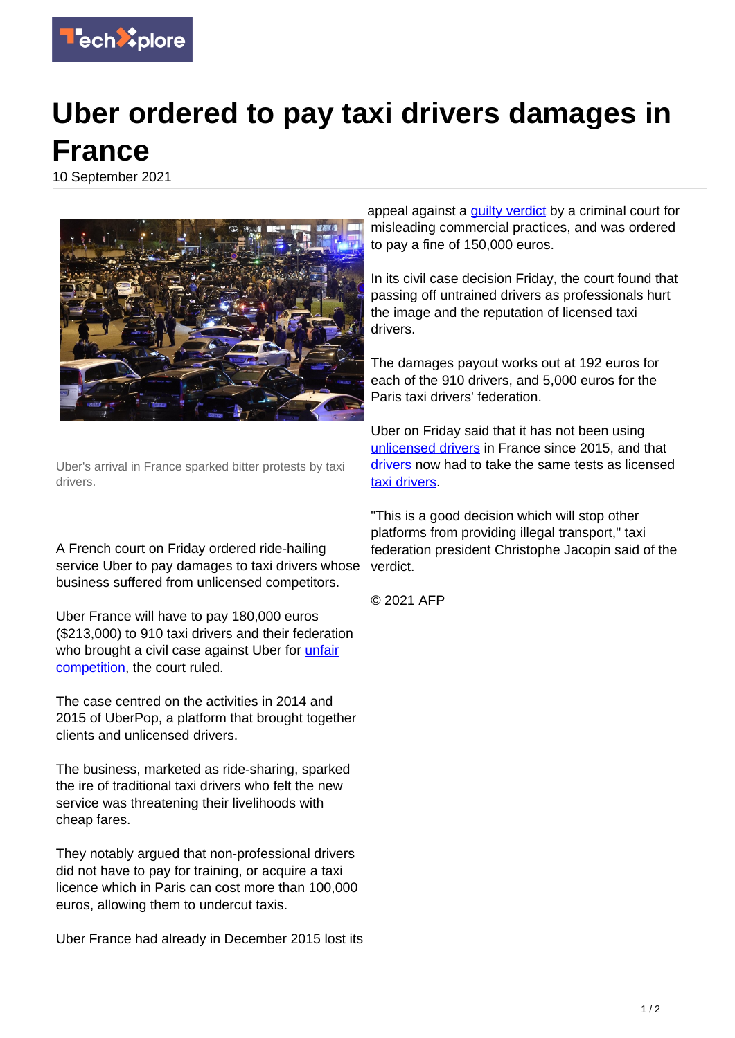

## **Uber ordered to pay taxi drivers damages in France**

10 September 2021



Uber's arrival in France sparked bitter protests by taxi drivers.

A French court on Friday ordered ride-hailing service Uber to pay damages to taxi drivers whose business suffered from unlicensed competitors.

Uber France will have to pay 180,000 euros (\$213,000) to 910 taxi drivers and their federation who brought a civil case against Uber for [unfair](https://techxplore.com/tags/unfair+competition/) [competition,](https://techxplore.com/tags/unfair+competition/) the court ruled.

The case centred on the activities in 2014 and 2015 of UberPop, a platform that brought together clients and unlicensed drivers.

The business, marketed as ride-sharing, sparked the ire of traditional taxi drivers who felt the new service was threatening their livelihoods with cheap fares.

They notably argued that non-professional drivers did not have to pay for training, or acquire a taxi licence which in Paris can cost more than 100,000 euros, allowing them to undercut taxis.

Uber France had already in December 2015 lost its

appeal against a quilty verdict by a criminal court for misleading commercial practices, and was ordered to pay a fine of 150,000 euros.

In its civil case decision Friday, the court found that passing off untrained drivers as professionals hurt the image and the reputation of licensed taxi drivers.

The damages payout works out at 192 euros for each of the 910 drivers, and 5,000 euros for the Paris taxi drivers' federation.

Uber on Friday said that it has not been using [unlicensed drivers](https://techxplore.com/tags/unlicensed+drivers/) in France since 2015, and that [drivers](https://techxplore.com/tags/drivers/) now had to take the same tests as licensed [taxi drivers.](https://techxplore.com/tags/taxi+drivers/)

"This is a good decision which will stop other platforms from providing illegal transport," taxi federation president Christophe Jacopin said of the verdict.

© 2021 AFP